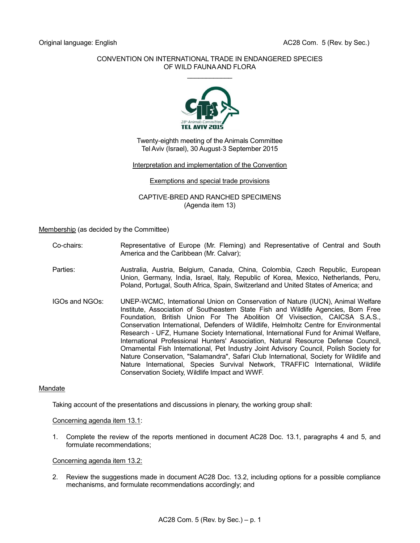## CONVENTION ON INTERNATIONAL TRADE IN ENDANGERED SPECIES OF WILD FAUNA AND FLORA  $\mathcal{L}$  . The set of the set of the set of the set of the set of the set of the set of the set of the set of the set of the set of the set of the set of the set of the set of the set of the set of the set of the set of t



Twenty-eighth meeting of the Animals Committee Tel Aviv (Israel), 30 August-3 September 2015

### Interpretation and implementation of the Convention

### Exemptions and special trade provisions

CAPTIVE-BRED AND RANCHED SPECIMENS (Agenda item 13)

### Membership (as decided by the Committee)

- Co-chairs: Representative of Europe (Mr. Fleming) and Representative of Central and South America and the Caribbean (Mr. Calvar);
- Parties: Australia, Austria, Belgium, Canada, China, Colombia, Czech Republic, European Union, Germany, India, Israel, Italy, Republic of Korea, Mexico, Netherlands, Peru, Poland, Portugal, South Africa, Spain, Switzerland and United States of America; and
- IGOs and NGOs: UNEP-WCMC, International Union on Conservation of Nature (IUCN), Animal Welfare Institute, Association of Southeastern State Fish and Wildlife Agencies, Born Free Foundation, British Union For The Abolition Of Vivisection, CAICSA S.A.S., Conservation International, Defenders of Wildlife, Helmholtz Centre for Environmental Research - UFZ, Humane Society International, International Fund for Animal Welfare, International Professional Hunters' Association, Natural Resource Defense Council, Ornamental Fish International, Pet Industry Joint Advisory Council, Polish Society for Nature Conservation, "Salamandra", Safari Club International, Society for Wildlife and Nature International, Species Survival Network, TRAFFIC International, Wildlife Conservation Society, Wildlife Impact and WWF.

# Mandate

Taking account of the presentations and discussions in plenary, the working group shall:

#### Concerning agenda item 13.1:

1. Complete the review of the reports mentioned in document AC28 Doc. 13.1, paragraphs 4 and 5, and formulate recommendations;

### Concerning agenda item 13.2:

2. Review the suggestions made in document AC28 Doc. 13.2, including options for a possible compliance mechanisms, and formulate recommendations accordingly; and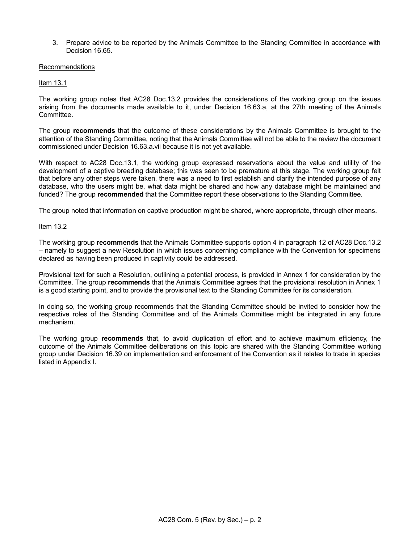3. Prepare advice to be reported by the Animals Committee to the Standing Committee in accordance with Decision 16.65.

### Recommendations

# Item 13.1

The working group notes that AC28 Doc.13.2 provides the considerations of the working group on the issues arising from the documents made available to it, under Decision 16.63.a, at the 27th meeting of the Animals Committee.

The group **recommends** that the outcome of these considerations by the Animals Committee is brought to the attention of the Standing Committee, noting that the Animals Committee will not be able to the review the document commissioned under Decision 16.63.a.vii because it is not yet available.

With respect to AC28 Doc.13.1, the working group expressed reservations about the value and utility of the development of a captive breeding database; this was seen to be premature at this stage. The working group felt that before any other steps were taken, there was a need to first establish and clarify the intended purpose of any database, who the users might be, what data might be shared and how any database might be maintained and funded? The group **recommended** that the Committee report these observations to the Standing Committee.

The group noted that information on captive production might be shared, where appropriate, through other means.

### Item 13.2

The working group **recommends** that the Animals Committee supports option 4 in paragraph 12 of AC28 Doc.13.2 – namely to suggest a new Resolution in which issues concerning compliance with the Convention for specimens declared as having been produced in captivity could be addressed.

Provisional text for such a Resolution, outlining a potential process, is provided in Annex 1 for consideration by the Committee. The group **recommends** that the Animals Committee agrees that the provisional resolution in Annex 1 is a good starting point, and to provide the provisional text to the Standing Committee for its consideration.

In doing so, the working group recommends that the Standing Committee should be invited to consider how the respective roles of the Standing Committee and of the Animals Committee might be integrated in any future mechanism.

The working group **recommends** that, to avoid duplication of effort and to achieve maximum efficiency, the outcome of the Animals Committee deliberations on this topic are shared with the Standing Committee working group under Decision 16.39 on implementation and enforcement of the Convention as it relates to trade in species listed in Appendix I.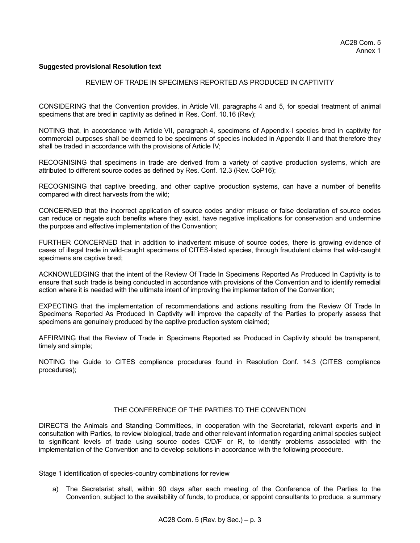### **Suggested provisional Resolution text**

### REVIEW OF TRADE IN SPECIMENS REPORTED AS PRODUCED IN CAPTIVITY

CONSIDERING that the Convention provides, in Article VII, paragraphs 4 and 5, for special treatment of animal specimens that are bred in captivity as defined in Res. Conf. 10.16 (Rev);

NOTING that, in accordance with Article VII, paragraph 4, specimens of Appendix-I species bred in captivity for commercial purposes shall be deemed to be specimens of species included in Appendix II and that therefore they shall be traded in accordance with the provisions of Article IV;

RECOGNISING that specimens in trade are derived from a variety of captive production systems, which are attributed to different source codes as defined by Res. Conf. 12.3 (Rev. CoP16);

RECOGNISING that captive breeding, and other captive production systems, can have a number of benefits compared with direct harvests from the wild;

CONCERNED that the incorrect application of source codes and/or misuse or false declaration of source codes can reduce or negate such benefits where they exist, have negative implications for conservation and undermine the purpose and effective implementation of the Convention;

FURTHER CONCERNED that in addition to inadvertent misuse of source codes, there is growing evidence of cases of illegal trade in wild-caught specimens of CITES-listed species, through fraudulent claims that wild-caught specimens are captive bred;

ACKNOWLEDGING that the intent of the Review Of Trade In Specimens Reported As Produced In Captivity is to ensure that such trade is being conducted in accordance with provisions of the Convention and to identify remedial action where it is needed with the ultimate intent of improving the implementation of the Convention;

EXPECTING that the implementation of recommendations and actions resulting from the Review Of Trade In Specimens Reported As Produced In Captivity will improve the capacity of the Parties to properly assess that specimens are genuinely produced by the captive production system claimed;

AFFIRMING that the Review of Trade in Specimens Reported as Produced in Captivity should be transparent, timely and simple;

NOTING the Guide to CITES compliance procedures found in Resolution Conf. 14.3 (CITES compliance procedures);

### THE CONFERENCE OF THE PARTIES TO THE CONVENTION

DIRECTS the Animals and Standing Committees, in cooperation with the Secretariat, relevant experts and in consultation with Parties, to review biological, trade and other relevant information regarding animal species subject to significant levels of trade using source codes C/D/F or R, to identify problems associated with the implementation of the Convention and to develop solutions in accordance with the following procedure.

#### Stage 1 identification of species-country combinations for review

a) The Secretariat shall, within 90 days after each meeting of the Conference of the Parties to the Convention, subject to the availability of funds, to produce, or appoint consultants to produce, a summary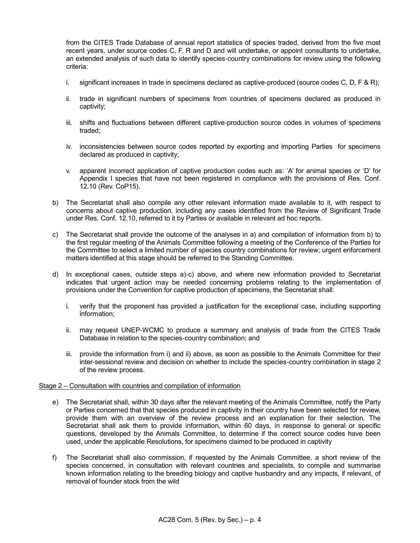from the CITES Trade Database of annual report statistics of species traded, derived from the five most recent years, under source codes C, F, R and D and will undertake, or appoint consultants to undertake, an extended analysis of such data to identify species-country combinations for review using the following criteria:

- i. significant increases in trade in specimens declared as captive-produced (source codes C, D, F & R);
- ii. trade in significant numbers of specimens from countries of specimens declared as produced in captivity;
- iii. shifts and fluctuations between different captive-production source codes in volumes of specimens traded;
- iv. inconsistencies between source codes reported by exporting and importing Parties for specimens declared as produced in captivity;
- v. apparent incorrect application of captive production codes such as: 'A' for animal species or 'D' for Appendix I species that have not been registered in compliance with the provisions of Res. Conf. 12.10 (Rev. CoP15).
- b) The Secretariat shall also compile any other relevant information made available to it, with respect to concerns about captive production, including any cases identified from the Review of Significant Trade under Res. Conf. 12.10, referred to it by Parties or available in relevant ad hoc reports.
- c) The Secretariat shall provide the outcome of the analyses in a) and compilation of information from b) to the first regular meeting of the Animals Committee following a meeting of the Conference of the Parties for the Committee to select a limited number of species country combinations for review; urgent enforcement matters identified at this stage should be referred to the Standing Committee.
- d) In exceptional cases, outside steps a)-c) above, and where new information provided to Secretariat indicates that urgent action may be needed concerning problems relating to the implementation of provisions under the Convention for captive production of specimens, the Secretariat shall:
	- i. verify that the proponent has provided a justification for the exceptional case, including supporting information;
	- ii. may request UNEP-WCMC to produce a summary and analysis of trade from the CITES Trade Database in relation to the species-country combination; and
	- iii. provide the information from i) and ii) above, as soon as possible to the Animals Committee for their inter-sessional review and decision on whether to include the species-country combination in stage 2 of the review process.

## Stage 2 – Consultation with countries and compilation of information

- e) The Secretariat shall, within 30 days after the relevant meeting of the Animals Committee, notify the Party or Parties concerned that that species produced in captivity in their country have been selected for review, provide them with an overview of the review process and an explanation for their selection. The Secretariat shall ask them to provide information, within 60 days, in response to general or specific questions, developed by the Animals Committee, to determine if the correct source codes have been used, under the applicable Resolutions, for specimens claimed to be produced in captivity
- f) The Secretariat shall also commission, if requested by the Animals Committee, a short review of the species concerned, in consultation with relevant countries and specialists, to compile and summarise known information relating to the breeding biology and captive husbandry and any impacts, if relevant, of removal of founder stock from the wild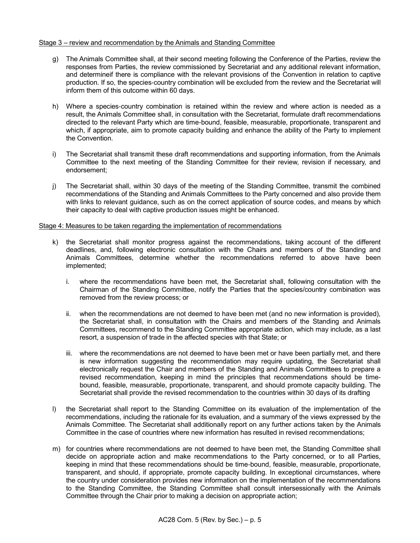## Stage 3 – review and recommendation by the Animals and Standing Committee

- g) The Animals Committee shall, at their second meeting following the Conference of the Parties, review the responses from Parties, the review commissioned by Secretariat and any additional relevant information, and determineif there is compliance with the relevant provisions of the Convention in relation to captive production. If so, the species-country combination will be excluded from the review and the Secretariat will inform them of this outcome within 60 days.
- h) Where a species-country combination is retained within the review and where action is needed as a result, the Animals Committee shall, in consultation with the Secretariat, formulate draft recommendations directed to the relevant Party which are time-bound, feasible, measurable, proportionate, transparent and which, if appropriate, aim to promote capacity building and enhance the ability of the Party to implement the Convention.
- i) The Secretariat shall transmit these draft recommendations and supporting information, from the Animals Committee to the next meeting of the Standing Committee for their review, revision if necessary, and endorsement;
- j) The Secretariat shall, within 30 days of the meeting of the Standing Committee, transmit the combined recommendations of the Standing and Animals Committees to the Party concerned and also provide them with links to relevant guidance, such as on the correct application of source codes, and means by which their capacity to deal with captive production issues might be enhanced.

# Stage 4: Measures to be taken regarding the implementation of recommendations

- k) the Secretariat shall monitor progress against the recommendations, taking account of the different deadlines, and, following electronic consultation with the Chairs and members of the Standing and Animals Committees, determine whether the recommendations referred to above have been implemented;
	- i. where the recommendations have been met, the Secretariat shall, following consultation with the Chairman of the Standing Committee, notify the Parties that the species/country combination was removed from the review process; or
	- ii. when the recommendations are not deemed to have been met (and no new information is provided), the Secretariat shall, in consultation with the Chairs and members of the Standing and Animals Committees, recommend to the Standing Committee appropriate action, which may include, as a last resort, a suspension of trade in the affected species with that State; or
	- iii. where the recommendations are not deemed to have been met or have been partially met, and there is new information suggesting the recommendation may require updating, the Secretariat shall electronically request the Chair and members of the Standing and Animals Committees to prepare a revised recommendation, keeping in mind the principles that recommendations should be timebound, feasible, measurable, proportionate, transparent, and should promote capacity building. The Secretariat shall provide the revised recommendation to the countries within 30 days of its drafting
- l) the Secretariat shall report to the Standing Committee on its evaluation of the implementation of the recommendations, including the rationale for its evaluation, and a summary of the views expressed by the Animals Committee. The Secretariat shall additionally report on any further actions taken by the Animals Committee in the case of countries where new information has resulted in revised recommendations;
- m) for countries where recommendations are not deemed to have been met, the Standing Committee shall decide on appropriate action and make recommendations to the Party concerned, or to all Parties, keeping in mind that these recommendations should be time-bound, feasible, measurable, proportionate, transparent, and should, if appropriate, promote capacity building. In exceptional circumstances, where the country under consideration provides new information on the implementation of the recommendations to the Standing Committee, the Standing Committee shall consult intersessionally with the Animals Committee through the Chair prior to making a decision on appropriate action;